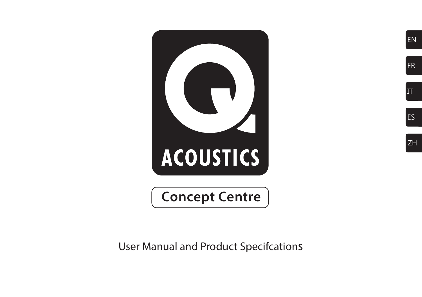

EN

FR

IT

ES

ZH

User Manual and Product Specifcations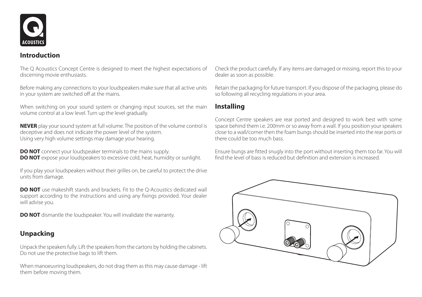

## **Introduction**

The Q Acoustics Concept Centre is designed to meet the highest expectations of discerning movie enthusiasts.

Before making any connections to your loudspeakers make sure that all active units in your system are switched off at the mains.

When switching on your sound system or changing input sources, set the main volume control at a low level. Turn up the level gradually.

**NEVER** play your sound system at full volume. The position of the volume control is deceptive and does not indicate the power level of the system. Using very high volume settings may damage your hearing.

**DO NOT** connect your loudspeaker terminals to the mains supply. **DO NOT** expose your loudspeakers to excessive cold, heat, humidity or sunlight.

If you play your loudspeakers without their grilles on, be careful to protect the drive units from damage.

**DO NOT** use makeshift stands and brackets. Fit to the Q-Acoustics dedicated wall support according to the instructions and using any fixings provided. Your dealer will advise you.

**DO NOT** dismantle the loudspeaker. You will invalidate the warranty.

# **Unpacking**

Unpack the speakers fully. Lift the speakers from the cartons by holding the cabinets. Do not use the protective bags to lift them.

When manoeuvring loudspeakers, do not drag them as this may cause damage - lift them before moving them.

Check the product carefully. If any items are damaged or missing, report this to your dealer as soon as possible.

Retain the packaging for future transport. If you dispose of the packaging, please do so following all recycling regulations in your area.

# **Installing**

Concept Centre speakers are rear ported and designed to work best with some space behind them i.e. 200mm or so away from a wall. If you position your speakers close to a wall/corner then the foam bungs should be inserted into the rear ports or there could be too much bass.

Ensure bungs are fitted snugly into the port without inserting them too far. You will find the level of bass is reduced but definition and extension is increased.

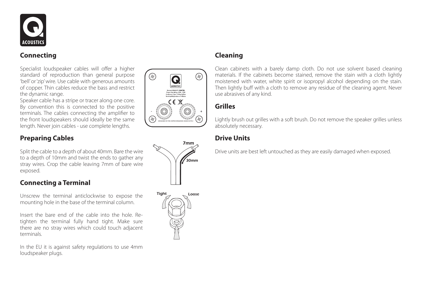

# **Connecting**

Specialist loudspeaker cables will offer a higher standard of reproduction than general purpose 'bell' or 'zip' wire. Use cable with generous amounts of copper. Thin cables reduce the bass and restrict the dynamic range.

Speaker cable has a stripe or tracer along one core. By convention this is connected to the positive terminals. The cables connecting the amplifier to the front loudspeakers should ideally be the same length. Never join cables - use complete lengths.

# **Preparing Cables**

Split the cable to a depth of about 40mm. Bare the wire to a depth of 10mm and twist the ends to gather any stray wires. Crop the cable leaving 7mm of bare wire exposed.

# **Connecting a Terminal**

Unscrew the terminal anticlockwise to expose the mounting hole in the base of the terminal column.

Insert the bare end of the cable into the hole. Retighten the terminal fully hand tight. Make sure there are no stray wires which could touch adjacent terminals.

In the EU it is against safety regulations to use 4mm loudspeaker plugs.





# **Cleaning**

Clean cabinets with a barely damp cloth. Do not use solvent based cleaning materials. If the cabinets become stained, remove the stain with a cloth lightly moistened with water, white spirit or isopropyl alcohol depending on the stain. Then lightly buff with a cloth to remove any residue of the cleaning agent. Never use abrasives of any kind.

# **Grilles**

Lightly brush out grilles with a soft brush. Do not remove the speaker grilles unless absolutely necessary.

# **Drive Units**

Drive units are best left untouched as they are easily damaged when exposed.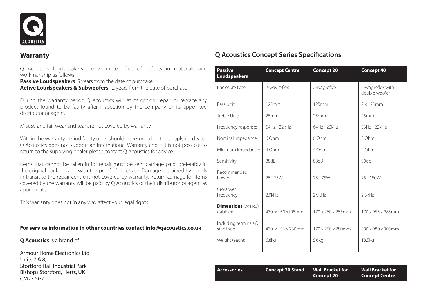

#### **Warranty**

Q Acoustics loudspeakers are warranted free of defects in materials and workmanship as follows:

**Passive Loudspeakers:** 5 years from the date of purchase **Active Loudspeakers & Subwoofers:** 2 years from the date of purchase.

During the warranty period Q Acoustics will, at its option, repair or replace any product found to be faulty after inspection by the company or its appointed distributor or agent.

Misuse and fair wear and tear are not covered by warranty.

Within the warranty period faulty units should be returned to the supplying dealer. Q Acoustics does not support an International Warranty and if it is not possible to return to the supplying dealer please contact Q Acoustics for advice.

Items that cannot be taken in for repair must be sent carriage paid, preferably in the original packing, and with the proof of purchase. Damage sustained by goods in transit to the repair centre is not covered by warranty. Return carriage for items covered by the warranty will be paid by Q Acoustics or their distributor or agent as appropriate.

This warranty does not in any way affect your legal rights.

#### **For service information in other countries contact info@qacoustics.co.uk**

**Q Acoustics** is a brand of:

Armour Home Electronics Ltd Units 7 & 8, Stortford Hall Industrial Park, Bishops Stortford, Herts, UK CM23 5GZ

| <b>Passive</b><br>Loudspeakers        | <b>Concept Centre</b> | <b>Concept 20</b> | <b>Concept 40</b>                  |
|---------------------------------------|-----------------------|-------------------|------------------------------------|
| Enclosure type:                       | 2-way reflex          | 2-way reflex      | 2-way reflex with<br>double woofer |
| Bass Unit:                            | 125mm                 | 125mm             | $2 \times 125$ mm                  |
| Treble Unit:                          | 25mm                  | 25mm              | 25mm                               |
| Frequency response:                   | 64Hz - 22kHz          | 64Hz - 22kHz      | 53Hz - 22kHz                       |
| Nominal Impedance:                    | 6 Ohm                 | 6 Ohm             | 8 Ohm                              |
| Minimum Impedance:                    | 4 Ohm                 | 4 Ohm             | 4 Ohm                              |
| Sensitivity:                          | 88dB                  | 88dB              | 90db                               |
| Recommended<br>Power:                 | $25 - 75W$            | $25 - 75W$        | $25 - 150W$                        |
| Crossover<br>Frequency:               | 2.9kHz                | 2.9kHz            | 2.3kHz                             |
| <b>Dimensions (WXHXD)</b><br>Cabinet: | 430 x 150 x 198mm     | 170 x 260 x 255mm | 170 x 955 x 285mm                  |
| Including terminals &<br>stabiliser:  | 430 x 156 x 230mm     | 170 x 260 x 280mm | 390 x 980 x 305mm                  |
| Weight (each):                        | 6.8 <sub>kq</sub>     | 5.6kg             | 18.5kg                             |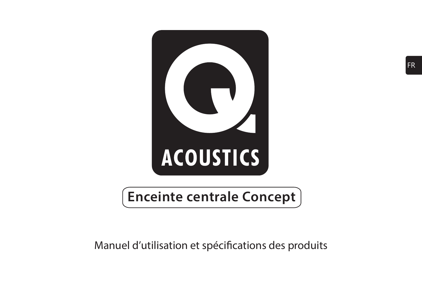

# **Enceinte centrale Concept**

# Manuel d'utilisation et spécifications des produits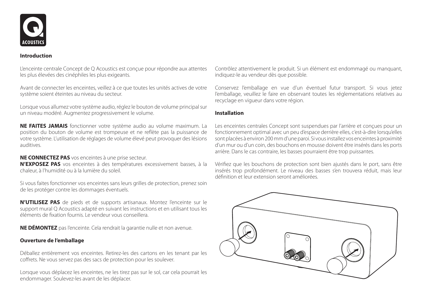

#### **Introduction**

L'enceinte centrale Concept de Q Acoustics est conçue pour répondre aux attentes les plus élevées des cinéphiles les plus exigeants.

Avant de connecter les enceintes, veillez à ce que toutes les unités actives de votre système soient éteintes au niveau du secteur.

Lorsque vous allumez votre système audio, réglez le bouton de volume principal sur un niveau modéré. Augmentez progressivement le volume.

**NE FAITES JAMAIS** fonctionner votre système audio au volume maximum. La position du bouton de volume est trompeuse et ne reflète pas la puissance de votre système. L'utilisation de réglages de volume élevé peut provoquer des lésions auditives.

**NE CONNECTEZ PAS** vos enceintes à une prise secteur.

**N'EXPOSEZ PAS** vos enceintes à des températures excessivement basses, à la chaleur, à l'humidité ou à la lumière du soleil.

Si vous faites fonctionner vos enceintes sans leurs grilles de protection, prenez soin de les protéger contre les dommages éventuels.

**N'UTILISEZ PAS** de pieds et de supports artisanaux. Montez l'enceinte sur le support mural Q Acoustics adapté en suivant les instructions et en utilisant tous les éléments de fixation fournis. Le vendeur vous conseillera.

**NE DÉMONTEZ** pas l'enceinte. Cela rendrait la garantie nulle et non avenue.

#### **Ouverture de l'emballage**

Déballez entièrement vos enceintes. Retirez-les des cartons en les tenant par les coffrets. Ne vous servez pas des sacs de protection pour les soulever.

Lorsque vous déplacez les enceintes, ne les tirez pas sur le sol, car cela pourrait les endommager. Soulevez-les avant de les déplacer.

Contrôlez attentivement le produit. Si un élément est endommagé ou manquant, indiquez-le au vendeur dès que possible.

Conservez l'emballage en vue d'un éventuel futur transport. Si vous jetez l'emballage, veuillez le faire en observant toutes les réglementations relatives au recyclage en vigueur dans votre région.

#### **Installation**

Les enceintes centrales Concept sont suspendues par l'arrière et conçues pour un fonctionnement optimal avec un peu d'espace derrière elles, c'est-à-dire lorsqu'elles sont placées à environ 200 mm d'une paroi. Si vous installez vos enceintes à proximité d'un mur ou d'un coin, des bouchons en mousse doivent être insérés dans les ports arrière. Dans le cas contraire, les basses pourraient être trop puissantes.

Vérifiez que les bouchons de protection sont bien ajustés dans le port, sans être insérés trop profondément. Le niveau des basses s'en trouvera réduit, mais leur définition et leur extension seront améliorées.

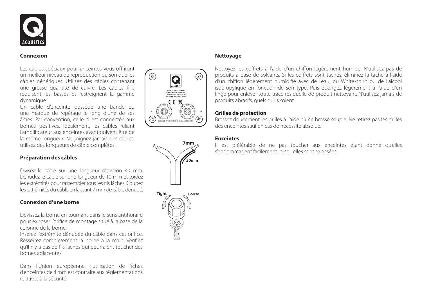

#### **Connexion**

Les câbles spéciaux pour enceintes vous offriront un meilleur niveau de reproduction du son que les câbles génériques. Utilisez des câbles contenant une grosse quantité de cuivre. Les câbles fins réduisent les basses et restreignent la gamme dynamique.

Un câble d'enceinte possède une bande ou une marque de repérage le long d'une de ses âmes. Par convention, celle-ci est connectée aux bornes positives. Idéalement, les câbles reliant l'amplificateur aux enceintes avant doivent être de la même longueur. Ne joignez jamais des câbles, utilisez des longueurs de câble complètes.

#### **Préparation des câbles**

Divisez le câble sur une longueur d'environ 40 mm. Dénudez le câble sur une longueur de 10 mm et tordez les extrémités pour rassembler tous les fils lâches. Coupez les extrémités du câble en laissant 7 mm de câble dénudé.

#### **Connexion d'une borne**

Dévissez la borne en tournant dans le sens antihoraire pour exposer l'orifice de montage situé à la base de la colonne de la borne.

Insérez l'extrémité dénudée du câble dans cet orifice. Resserrez complètement la borne à la main. Vérifiez qu'il n'y a pas de fils lâches qui pourraient toucher des bornes adjacentes.

Dans l'Union européenne, l'utilisation de fiches d'enceintes de 4 mm est contraire aux réglementations relatives à la sécurité.







#### **Nettoyage**

Nettoyez les coffrets à l'aide d'un chiffon légèrement humide. N'utilisez pas de produits à base de solvants. Si les coffrets sont tachés, éliminez la tache à l'aide d'un chiffon légèrement humidifié avec de l'eau, du White-spirit ou de l'alcool isopropylique en fonction de son type. Puis épongez légèrement à l'aide d'un linge pour enlever toute trace résiduelle de produit nettoyant. N'utilisez jamais de produits abrasifs, quels qu'ils soient.

#### **Grilles de protection**

Brossez doucement les grilles à l'aide d'une brosse souple. Ne retirez pas les grilles des enceintes sauf en cas de nécessité absolue.

#### **Enceintes**

Il est préférable de ne pas toucher aux enceintes étant donné qu'elles s'endommagent facilement lorsqu'elles sont exposées.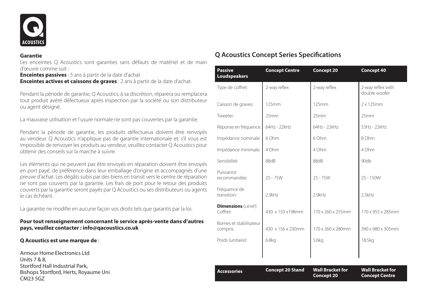

#### **Garantie**

Les enceintes Q Acoustics sont garanties sans défauts de matériel et de main d'œuvre comme suit :

**Enceintes passives** : 5 ans à partir de la date d'achat **Enceintes actives et caissons de graves** : 2 ans à partir de la date d'achat.

Pendant la période de garantie, Q Acoustics, à sa discrétion, réparera ou remplacera tout produit avéré défectueux après inspection par la société ou son distributeur ou agent désigné.

La mauvaise utilisation et l'usure normale ne sont pas couvertes par la garantie.

Pendant la période de garantie, les produits défectueux doivent être renvoyés au vendeur. Q Acoustics n'applique pas de garantie internationale et, s'il vous est impossible de renvoyer les produits au vendeur, veuillez contacter Q Acoustics pour obtenir des conseils sur la marche à suivre.

Les éléments qui ne peuvent pas être envoyés en réparation doivent être envoyés en port payé, de préférence dans leur emballage d'origine et accompagnés d'une preuve d'achat. Les dégâts subis par des biens en transit vers le centre de réparation ne sont pas couverts par la garantie. Les frais de port pour le retour des produits couverts par la garantie seront payés par Q Acoustics ou ses distributeurs ou agents le cas échéant.

La garantie ne modifie en aucune façon vos droits tels que garantis par la loi.

#### **Pour tout renseignement concernant le service après-vente dans d'autres pays, veuillez contacter : info@qacoustics.co.uk**

#### **Q Acoustics est une marque de** :

Armour Home Electronics Ltd Units 7 & 8, Stortford Hall Industrial Park, Bishops Stortford, Herts, Royaume Uni CM23 5GZ

| <b>Passive</b><br>Loudspeakers        | <b>Concept Centre</b>   | Concept 20                                   | Concept 40                                       |
|---------------------------------------|-------------------------|----------------------------------------------|--------------------------------------------------|
| Type de coffret:                      | 2-way reflex            | 2-way reflex                                 | 2-way reflex with<br>double woofer               |
| Caisson de graves:                    | 125mm                   | 125mm                                        | $2 \times 125$ mm                                |
| Tweeter:                              | 25mm                    | 25mm                                         | 25mm                                             |
| Réponse en fréquence:                 | 64Hz - 22kHz            | 64Hz - 22kHz                                 | 53Hz - 22kHz                                     |
| Impédance nominale:                   | 6 Ohm                   | 6 Ohm                                        | 8 Ohm                                            |
| Impédance minimale:                   | 4 Ohm                   | 4 Ohm                                        | 4 Ohm                                            |
| Sensibilité:                          | 88dB                    | 88dB                                         | 90db                                             |
| Puissance<br>recommandée:             | $25 - 75W$              | $25 - 75W$                                   | $25 - 150W$                                      |
| Fréquence de<br>transition:           | 2.9kHz                  | 2.9kHz                                       | 2.3kHz                                           |
| <b>Dimensions</b> (LxHxP)<br>Coffret: | 430 x 150 x 198mm       | 170 x 260 x 255mm                            | 170 x 955 x 285mm                                |
| Bornes et stabilisateur<br>compris:   | 430 x 156 x 230mm       | 170 x 260 x 280mm                            | 390 x 980 x 305mm                                |
| Poids (unitaire):                     | 6.8 <sub>kq</sub>       | 5.6kg                                        | 18.5kg                                           |
|                                       |                         |                                              |                                                  |
| <b>Accessories</b>                    | <b>Concept 20 Stand</b> | <b>Wall Bracket for</b><br><b>Concept 20</b> | <b>Wall Bracket for</b><br><b>Concept Centre</b> |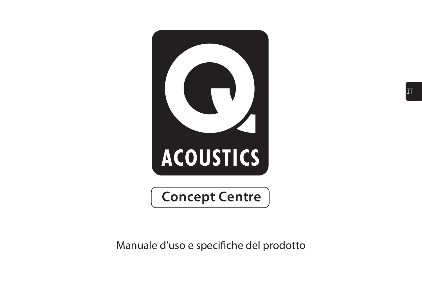

Manuale d'uso e specifiche del prodotto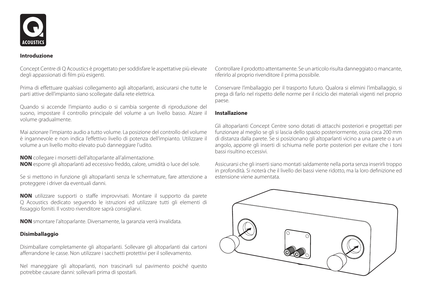

#### **Introduzione**

Concept Centre di Q Acoustics è progettato per soddisfare le aspettative più elevate degli appassionati di film più esigenti.

Prima di effettuare qualsiasi collegamento agli altoparlanti, assicurarsi che tutte le parti attive dell'impianto siano scollegate dalla rete elettrica.

Quando si accende l'impianto audio o si cambia sorgente di riproduzione del suono, impostare il controllo principale del volume a un livello basso. Alzare il volume gradualmente.

Mai azionare l'impianto audio a tutto volume. La posizione del controllo del volume è ingannevole e non indica l'effettivo livello di potenza dell'impianto. Utilizzare il volume a un livello molto elevato può danneggiare l'udito.

**NON** collegare i morsetti dell'altoparlante all'alimentazione. **NON** esporre gli altoparlanti ad eccessivo freddo, calore, umidità o luce del sole.

Se si mettono in funzione gli altoparlanti senza le schermature, fare attenzione a proteggere i driver da eventuali danni.

**NON** utilizzare supporti o staffe improvvisati. Montare il supporto da parete Q Acoustics dedicato seguendo le istruzioni ed utilizzare tutti gli elementi di fissaggio forniti. Il vostro rivenditore saprà consigliarvi.

**NON** smontare l'altoparlante. Diversamente, la garanzia verrà invalidata.

#### **Disimballaggio**

Disimballare completamente gli altoparlanti. Sollevare gli altoparlanti dai cartoni afferrandone le casse. Non utilizzare i sacchetti protettivi per il sollevamento.

Nel maneggiare gli altoparlanti, non trascinarli sul pavimento poiché questo potrebbe causare danni: sollevarli prima di spostarli.

Controllare il prodotto attentamente. Se un articolo risulta danneggiato o mancante, riferirlo al proprio rivenditore il prima possibile.

Conservare l'imballaggio per il trasporto futuro. Qualora si elimini l'imballaggio, si prega di farlo nel rispetto delle norme per il riciclo dei materiali vigenti nel proprio paese.

#### **Installazione**

Gli altoparlanti Concept Centre sono dotati di attacchi posteriori e progettati per funzionare al meglio se gli si lascia dello spazio posteriormente, ossia circa 200 mm di distanza dalla parete. Se si posizionano gli altoparlanti vicino a una parete o a un angolo, apporre gli inserti di schiuma nelle porte posteriori per evitare che i toni bassi risultino eccessivi.

Assicurarsi che gli inserti siano montati saldamente nella porta senza inserirli troppo in profondità. Si noterà che il livello dei bassi viene ridotto, ma la loro definizione ed estensione viene aumentata.

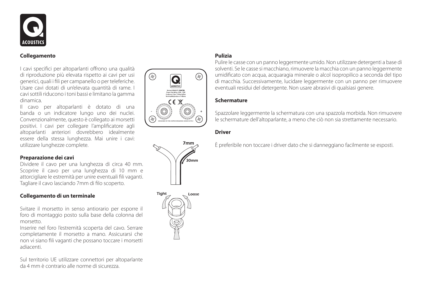

#### **Collegamento**

I cavi specifici per altoparlanti offrono una qualità di riproduzione più elevata rispetto ai cavi per usi generici, quali i fili per campanello o per teleferiche. Usare cavi dotati di un'elevata quantità di rame. I cavi sottili riducono i toni bassi e limitano la gamma dinamica.

Il cavo per altoparlanti è dotato di una banda o un indicatore lungo uno dei nuclei. Convenzionalmente, questo è collegato ai morsetti positivi. I cavi per collegare l'amplificatore agli altoparlanti anteriori dovrebbero idealmente essere della stessa lunghezza. Mai unire i cavi: utilizzare lunghezze complete.

#### **Preparazione dei cavi**

Dividere il cavo per una lunghezza di circa 40 mm. Scoprire il cavo per una lunghezza di 10 mm e attorcigliare le estremità per unire eventuali fili vaganti. Tagliare il cavo lasciando 7mm di filo scoperto.

#### **Collegamento di un terminale**

Svitare il morsetto in senso antiorario per esporre il foro di montaggio posto sulla base della colonna del morsetto.

Inserire nel foro l'estremità scoperta del cavo. Serrare completamente il morsetto a mano. Assicurarsi che non vi siano fili vaganti che possano toccare i morsetti adiacenti.

Sul territorio UE utilizzare connettori per altoparlante da 4 mm è contrario alle norme di sicurezza.







#### **Pulizia**

Pulire le casse con un panno leggermente umido. Non utilizzare detergenti a base di solventi. Se le casse si macchiano, rimuovere la macchia con un panno leggermente umidificato con acqua, acquaragia minerale o alcol isopropilico a seconda del tipo di macchia. Successivamente, lucidare leggermente con un panno per rimuovere eventuali residui del detergente. Non usare abrasivi di qualsiasi genere.

#### **Schermature**

Spazzolare leggermente la schermatura con una spazzola morbida. Non rimuovere le schermature dell'altoparlante, a meno che ciò non sia strettamente necessario.

#### **Driver**

È preferibile non toccare i driver dato che si danneggiano facilmente se esposti.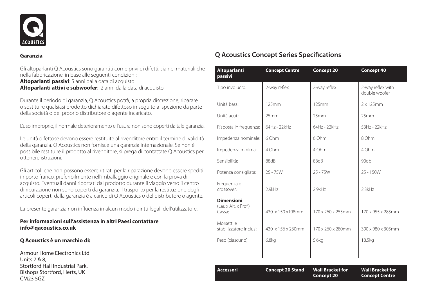

#### **Garanzia**

Gli altoparlanti Q Acoustics sono garantiti come privi di difetti, sia nei materiali che nella fabbricazione, in base alle seguenti condizioni: **Altoparlanti passivi**: 5 anni dalla data di acquisto **Altoparlanti attivi e subwoofer**: 2 anni dalla data di acquisto.

Durante il periodo di garanzia, Q Acoustics potrà, a propria discrezione, riparare o sostituire qualsiasi prodotto dichiarato difettoso in seguito a ispezione da parte della società o del proprio distributore o agente incaricato.

L'uso improprio, il normale deterioramento e l'usura non sono coperti da tale garanzia.

Le unità difettose devono essere restituite al rivenditore entro il termine di validità della garanzia. Q Acoustics non fornisce una garanzia internazionale. Se non è possibile restituire il prodotto al rivenditore, si prega di contattate Q Acoustics per ottenere istruzioni.

Gli articoli che non possono essere ritirati per la riparazione devono essere spediti in porto franco, preferibilmente nell'imballaggio originale e con la prova di acquisto. Eventuali danni riportati dal prodotto durante il viaggio verso il centro di riparazione non sono coperti da garanzia. Il trasporto per la restituzione degli articoli coperti dalla garanzia è a carico di Q Acoustics o del distributore o agente.

La presente garanzia non influenza in alcun modo i diritti legali dell'utilizzatore.

#### **Per informazioni sull'assistenza in altri Paesi contattare info@qacoustics.co.uk**

#### **Q Acoustics è un marchio di:**

Armour Home Electronics Ltd Units 7 & 8, Stortford Hall Industrial Park, Bishops Stortford, Herts, UK CM23 5GZ

| Altoparlanti<br>passivi                              | <b>Concept Centre</b>   | Concept 20                            | <b>Concept 40</b>                                |
|------------------------------------------------------|-------------------------|---------------------------------------|--------------------------------------------------|
| Tipo involucro:                                      | 2-way reflex            | 2-way reflex                          | 2-way reflex with<br>double woofer               |
| Unità bassi:                                         | 125mm                   | 125mm                                 | $2 \times 125$ mm                                |
| Unità acuti:                                         | 25mm                    | 25mm                                  | 25mm                                             |
| Risposta in frequenza:                               | 64Hz - 22kHz            | 64Hz - 22kHz                          | 53Hz - 22kHz                                     |
| Impedenza nominale:                                  | 6 Ohm                   | 6 Ohm                                 | 8 Ohm                                            |
| Impedenza minima:                                    | 4 Ohm                   | 4 Ohm                                 | 4 Ohm                                            |
| Sensibilità:                                         | 88dB                    | 88dB                                  | 90db                                             |
| Potenza consigliata:                                 | $25 - 75W$              | $25 - 75W$                            | $25 - 150W$                                      |
| Frequenza di<br>crossover:                           | 2.9kHz                  | 2.9kHz                                | 2.3kHz                                           |
| <b>Dimensioni</b><br>(Lar. x Alt. x Prof.)<br>Cassa: | 430 x 150 x 198mm       | 170 x 260 x 255mm                     | 170 x 955 x 285mm                                |
| Morsetti e<br>stabilizzatore inclusi:                | 430 x 156 x 230mm       | 170 x 260 x 280mm                     | 390 x 980 x 305mm                                |
| Peso (ciascuno)                                      | 6.8 <sub>kq</sub>       | 5.6kg                                 | 18.5kg                                           |
|                                                      |                         |                                       |                                                  |
| <b>Accessori</b>                                     | <b>Concept 20 Stand</b> | <b>Wall Bracket for</b><br>Concept 20 | <b>Wall Bracket for</b><br><b>Concept Centre</b> |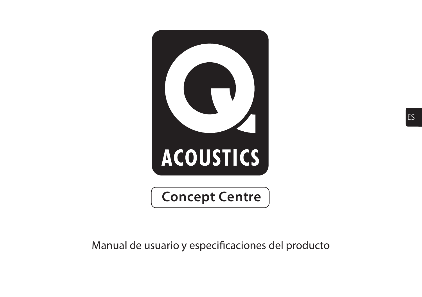

Manual de usuario y especificaciones del producto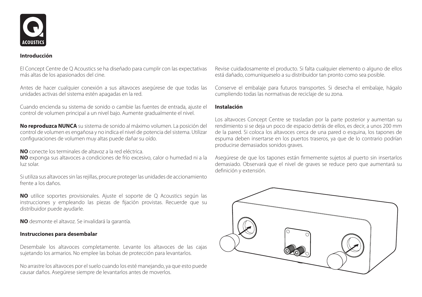

#### **Introducción**

El Concept Centre de Q Acoustics se ha diseñado para cumplir con las expectativas más altas de los apasionados del cine.

Antes de hacer cualquier conexión a sus altavoces asegúrese de que todas las unidades activas del sistema estén apagadas en la red.

Cuando encienda su sistema de sonido o cambie las fuentes de entrada, ajuste el control de volumen principal a un nivel bajo. Aumente gradualmente el nivel.

**No reproduzca NUNCA** su sistema de sonido al máximo volumen. La posición del control de volumen es engañosa y no indica el nivel de potencia del sistema. Utilizar configuraciones de volumen muy altas puede dañar su oído.

**NO** conecte los terminales de altavoz a la red eléctrica.

**NO** exponga sus altavoces a condiciones de frío excesivo, calor o humedad ni a la luz solar.

Si utiliza sus altavoces sin las rejillas, procure proteger las unidades de accionamiento frente a los daños.

**NO** utilice soportes provisionales. Ajuste el soporte de Q Acoustics según las instrucciones y empleando las piezas de fijación provistas. Recuerde que su distribuidor puede ayudarle.

**NO** desmonte el altavoz. Se invalidará la garantía.

#### **Instrucciones para desembalar**

Desembale los altavoces completamente. Levante los altavoces de las cajas sujetando los armarios. No emplee las bolsas de protección para levantarlos.

No arrastre los altavoces por el suelo cuando los esté manejando, ya que esto puede causar daños. Asegúrese siempre de levantarlos antes de moverlos.

Revise cuidadosamente el producto. Si falta cualquier elemento o alguno de ellos está dañado, comuníqueselo a su distribuidor tan pronto como sea posible.

Conserve el embalaje para futuros transportes. Si desecha el embalaje, hágalo cumpliendo todas las normativas de reciclaje de su zona.

#### **Instalación**

Los altavoces Concept Centre se trasladan por la parte posterior y aumentan su rendimiento si se deja un poco de espacio detrás de ellos, es decir, a unos 200 mm de la pared. Si coloca los altavoces cerca de una pared o esquina, los tapones de espuma deben insertarse en los puertos traseros, ya que de lo contrario podrían producirse demasiados sonidos graves.

Asegúrese de que los tapones están firmemente sujetos al puerto sin insertarlos demasiado. Observará que el nivel de graves se reduce pero que aumentará su definición y extensión.

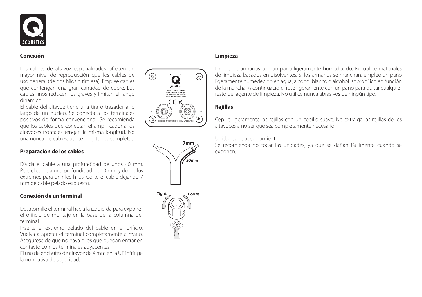

#### **Conexión**

Los cables de altavoz especializados ofrecen un mayor nivel de reproducción que los cables de uso general (de dos hilos o tirolesa). Emplee cables que contengan una gran cantidad de cobre. Los cables finos reducen los graves y limitan el rango dinámico.

El cable del altavoz tiene una tira o trazador a lo largo de un núcleo. Se conecta a los terminales positivos de forma convencional. Se recomienda que los cables que conectan el amplificador a los altavoces frontales tengan la misma longitud. No una nunca los cables, utilice longitudes completas.

#### **Preparación de los cables**

Divida el cable a una profundidad de unos 40 mm. Pele el cable a una profundidad de 10 mm y doble los extremos para unir los hilos. Corte el cable dejando 7 mm de cable pelado expuesto.

#### **Conexión de un terminal**

Desatornille el terminal hacia la izquierda para exponer el orificio de montaje en la base de la columna del terminal.

Inserte el extremo pelado del cable en el orificio. Vuelva a apretar el terminal completamente a mano. Asegúrese de que no haya hilos que puedan entrar en contacto con los terminales adyacentes.

El uso de enchufes de altavoz de 4 mm en la UE infringe la normativa de seguridad.







#### **Limpieza**

Limpie los armarios con un paño ligeramente humedecido. No utilice materiales de limpieza basados en disolventes. Si los armarios se manchan, emplee un paño ligeramente humedecido en agua, alcohol blanco o alcohol isopropílico en función de la mancha. A continuación, frote ligeramente con un paño para quitar cualquier resto del agente de limpieza. No utilice nunca abrasivos de ningún tipo.

#### **Rejillas**

Cepille ligeramente las rejillas con un cepillo suave. No extraiga las rejillas de los altavoces a no ser que sea completamente necesario.

#### Unidades de accionamiento.

Se recomienda no tocar las unidades, ya que se dañan fácilmente cuando se exponen.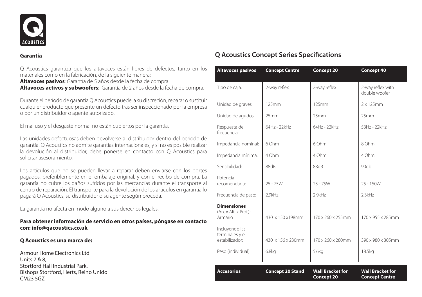

#### **Garantía**

Q Acoustics garantiza que los altavoces están libres de defectos, tanto en los materiales como en la fabricación, de la siguiente manera:

**Altavoces pasivos**: Garantía de 5 años desde la fecha de compra **Altavoces activos y subwoofers**: Garantía de 2 años desde la fecha de compra.

Durante el período de garantía Q Acoustics puede, a su discreción, reparar o sustituir cualquier producto que presente un defecto tras ser inspeccionado por la empresa o por un distribuidor o agente autorizado.

El mal uso y el desgaste normal no están cubiertos por la garantía.

Las unidades defectuosas deben devolverse al distribuidor dentro del periodo de garantía. Q Acoustics no admite garantías internacionales, y si no es posible realizar la devolución al distribuidor, debe ponerse en contacto con Q Acoustics para solicitar asesoramiento.

Los artículos que no se pueden llevar a reparar deben enviarse con los portes pagados, preferiblemente en el embalaje original, y con el recibo de compra. La garantía no cubre los daños sufridos por las mercancías durante el transporte al centro de reparación. El transporte para la devolución de los artículos en garantía lo pagará Q Acoustics, su distribuidor o su agente según proceda.

La garantía no afecta en modo alguno a sus derechos legales.

#### **Para obtener información de servicio en otros países, póngase en contacto con: info@qacoustics.co.uk**

#### **Q Acoustics es una marca de:**

Armour Home Electronics Ltd Units 7 & 8, Stortford Hall Industrial Park, Bishops Stortford, Herts, Reino Unido CM23 5GZ

| <b>Altavoces pasivos</b>                                                 | <b>Concept Centre</b>   | Concept 20                                   | Concept 40                                       |
|--------------------------------------------------------------------------|-------------------------|----------------------------------------------|--------------------------------------------------|
| Tipo de caja:                                                            | 2-way reflex            | 2-way reflex                                 | 2-way reflex with<br>double woofer               |
| Unidad de graves:                                                        | 125mm                   | 125mm                                        | $2 \times 125$ mm                                |
| Unidad de agudos:                                                        | 25mm                    | 25mm                                         | 25mm                                             |
| Respuesta de<br>frecuencia:                                              | 64Hz - 22kHz            | 64Hz - 22kHz                                 | 53Hz - 22kHz                                     |
| Impedancia nominal:                                                      | 6 Ohm                   | 6 Ohm                                        | 8 Ohm                                            |
| Impedancia mínima:                                                       | 4 Ohm                   | 4 Ohm                                        | 4 Ohm                                            |
| Sensibilidad:                                                            | 88dB                    | 88dB                                         | 90db                                             |
| Potencia<br>recomendada:                                                 | $25 - 75W$              | $25 - 75W$                                   | $25 - 150W$                                      |
| Frecuencia de paso:                                                      | 2 9kHz                  | 29kHz                                        | 2.3kHz                                           |
| <b>Dimensiones</b><br>(An. x Alt. x Prof.):<br>Armario<br>Incluyendo las | 430 x 150 x 198mm       | 170 x 260 x 255mm                            | 170 x 955 x 285mm                                |
| terminales y el<br>estabilizador:                                        | 430 x 156 x 230mm       | 170 x 260 x 280mm                            | 390 x 980 x 305mm                                |
| Peso (individual):                                                       | 6.8 <sub>kq</sub>       | 5.6kg                                        | 18.5kg                                           |
| <b>Accesorios</b>                                                        | <b>Concept 20 Stand</b> | <b>Wall Bracket for</b><br><b>Concept 20</b> | <b>Wall Bracket for</b><br><b>Concept Centre</b> |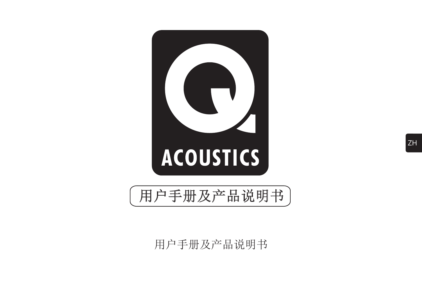

用户手册及产品说明书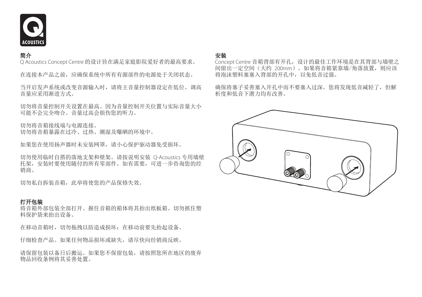

#### 简介

Q Acoustics Concept Centre 的设计旨在满足家庭影院爱好者的最高要求。

在连接本产品之前,应确保系统中所有有源部件的电源处于关闭状态。

当开启发声系统或改变音源输入时,请将主音量控制器设定在低位。调高 音量应采用渐进方式。

切勿将音量控制开关设置在最高。因为音量控制开关位置与实际音量大小 可能不会完全吻合。音量过高会损伤您的听力。

切勿将音箱接线端与电源连接。 切勿将音箱暴露在过冷、过热、潮湿及曝晒的环境中。

如果您在使用扬声器时未安装网罩,请小心保护驱动器免受损坏。

切勿使用临时自搭的落地支架和壁架。请按说明安装 Q-Acoustics 专用墙壁 托架,安装时要使用随付的所有零部件。如有需要,可进一步咨询您的经 销商。

切勿私自拆装音箱,此举将使您的产品保修失效。

#### 打开包装

将音箱外部包装全部打开。握住音箱的箱体将其抬出纸板箱。切勿抓住塑 料保护袋来抬出设备。

在移动音箱时,切勿拖拽以防造成损坏:在移动前要先抬起设备。

仔细检查产品。如果任何物品损坏或缺失,请尽快向经销商反映。

请保留包装以备日后搬运。如果您不保留包装,请按照您所在地区的废弃 物品回收条例将其妥善处置。

#### 安装

Concept Centre 音箱背部有开孔, 设计的最佳工作环境是在其背部与墙壁之 间留出一定空间(大约 200mm)。如果将音箱紧靠墙/角落放置,则应该 将泡沫塑料塞塞入背部的开孔中,以免低音过强。

确保将塞子妥善塞入开孔中而不要塞入过深。您将发现低音减轻了, 但解 析度和低音下潜力均有改善。

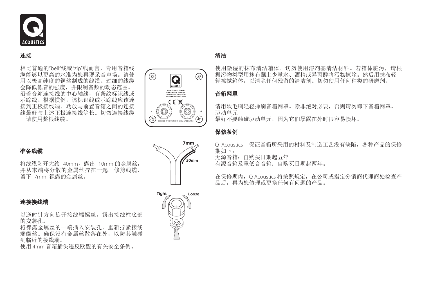

连接

相比普通的"bell"线或"zip"线而言,专用音箱线 缆能够以更高的水准为您再现录音声场。请使 用以极高纯度的铜丝制成的线缆。过细的线缆 会降低低音的强度,并限制音频的动态范围。 沿着音箱连接线的中心轴线,有条纹标识线或 示踪线。根据惯例,该标识线或示踪线应该连 接到正极接线端。功放与前置音箱之间的连接 线最好与上述正极连接线等长。切勿连接线缆 - 请使用整根线缆。

#### 准备线缆

将线缆剥开大约 40mm,露出 10mm 的金属丝, 并从末端将分散的金属丝拧在一起。修剪线缆, 留下 7mm 裸露的金属丝。

#### 连接接线端

以逆时针方向旋开接线端螺丝,露出接线柱底部 的安装孔。

将裸露金属丝的一端插入安装孔。重新拧紧接线 端螺丝。确保没有金属丝散落在外,以防其触碰 到临近的接线端。

使用 4mm 音箱插头违反欧盟的有关安全条例。



# $\mathcal{L}_{30mm}$ 7mm



# 清洁

使用微湿的抹布清洁箱体。切勿使用溶剂基清洁材料。若箱体脏污,请根 据污物类型用抹布蘸上少量水、酒精或异丙醇将污物擦除。然后用抹布轻 轻擦拭箱体,以清除任何残留的清洁剂。切勿使用任何种类的研磨剂。

## 音箱网罩

请用软毛刷轻轻掸刷音箱网罩。除非绝对必要,否则请勿卸下音箱网罩。 驱动单元 最好不要触碰驱动单元,因为它们暴露在外时很容易损坏。

#### 保修条例

Q Acoustics 保证音箱所采用的材料及制造工艺没有缺陷,各种产品的保修 期如下: 无源音箱:自购买日期起五年

有源音箱及重低音音箱:自购买日期起两年。

在保修期内, O Acoustics 将按照规定, 在公司或指定分销商代理商处检查产 品后,再为您修理或更换任何有问题的产品。